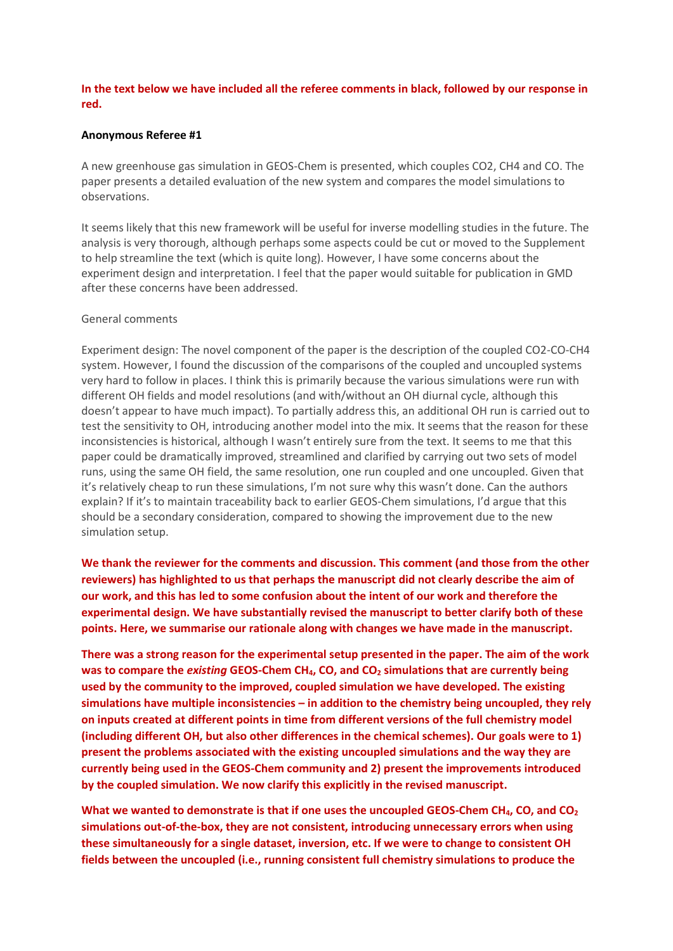# **In the text below we have included all the referee comments in black, followed by our response in red.**

### **Anonymous Referee #1**

A new greenhouse gas simulation in GEOS-Chem is presented, which couples CO2, CH4 and CO. The paper presents a detailed evaluation of the new system and compares the model simulations to observations.

It seems likely that this new framework will be useful for inverse modelling studies in the future. The analysis is very thorough, although perhaps some aspects could be cut or moved to the Supplement to help streamline the text (which is quite long). However, I have some concerns about the experiment design and interpretation. I feel that the paper would suitable for publication in GMD after these concerns have been addressed.

#### General comments

Experiment design: The novel component of the paper is the description of the coupled CO2-CO-CH4 system. However, I found the discussion of the comparisons of the coupled and uncoupled systems very hard to follow in places. I think this is primarily because the various simulations were run with different OH fields and model resolutions (and with/without an OH diurnal cycle, although this doesn't appear to have much impact). To partially address this, an additional OH run is carried out to test the sensitivity to OH, introducing another model into the mix. It seems that the reason for these inconsistencies is historical, although I wasn't entirely sure from the text. It seems to me that this paper could be dramatically improved, streamlined and clarified by carrying out two sets of model runs, using the same OH field, the same resolution, one run coupled and one uncoupled. Given that it's relatively cheap to run these simulations, I'm not sure why this wasn't done. Can the authors explain? If it's to maintain traceability back to earlier GEOS-Chem simulations, I'd argue that this should be a secondary consideration, compared to showing the improvement due to the new simulation setup.

**We thank the reviewer for the comments and discussion. This comment (and those from the other reviewers) has highlighted to us that perhaps the manuscript did not clearly describe the aim of our work, and this has led to some confusion about the intent of our work and therefore the experimental design. We have substantially revised the manuscript to better clarify both of these points. Here, we summarise our rationale along with changes we have made in the manuscript.**

**There was a strong reason for the experimental setup presented in the paper. The aim of the work was to compare the** *existing* **GEOS-Chem CH4, CO, and CO<sup>2</sup> simulations that are currently being used by the community to the improved, coupled simulation we have developed. The existing simulations have multiple inconsistencies – in addition to the chemistry being uncoupled, they rely on inputs created at different points in time from different versions of the full chemistry model (including different OH, but also other differences in the chemical schemes). Our goals were to 1) present the problems associated with the existing uncoupled simulations and the way they are currently being used in the GEOS-Chem community and 2) present the improvements introduced by the coupled simulation. We now clarify this explicitly in the revised manuscript.**

**What we wanted to demonstrate is that if one uses the uncoupled GEOS-Chem CH4, CO, and CO<sup>2</sup> simulations out-of-the-box, they are not consistent, introducing unnecessary errors when using these simultaneously for a single dataset, inversion, etc. If we were to change to consistent OH fields between the uncoupled (i.e., running consistent full chemistry simulations to produce the**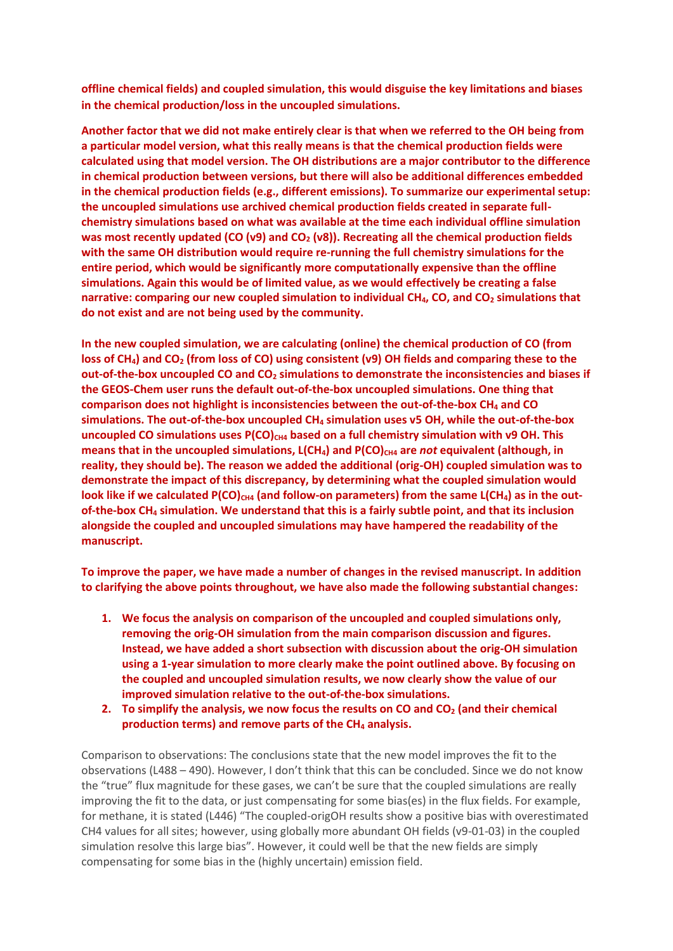**offline chemical fields) and coupled simulation, this would disguise the key limitations and biases in the chemical production/loss in the uncoupled simulations.**

**Another factor that we did not make entirely clear is that when we referred to the OH being from a particular model version, what this really means is that the chemical production fields were calculated using that model version. The OH distributions are a major contributor to the difference in chemical production between versions, but there will also be additional differences embedded in the chemical production fields (e.g., different emissions). To summarize our experimental setup: the uncoupled simulations use archived chemical production fields created in separate fullchemistry simulations based on what was available at the time each individual offline simulation was most recently updated (CO (v9) and CO<sup>2</sup> (v8)). Recreating all the chemical production fields with the same OH distribution would require re-running the full chemistry simulations for the entire period, which would be significantly more computationally expensive than the offline simulations. Again this would be of limited value, as we would effectively be creating a false narrative: comparing our new coupled simulation to individual CH4, CO, and CO<sup>2</sup> simulations that do not exist and are not being used by the community.** 

**In the new coupled simulation, we are calculating (online) the chemical production of CO (from loss of CH4) and CO<sup>2</sup> (from loss of CO) using consistent (v9) OH fields and comparing these to the out-of-the-box uncoupled CO and CO<sup>2</sup> simulations to demonstrate the inconsistencies and biases if the GEOS-Chem user runs the default out-of-the-box uncoupled simulations. One thing that comparison does not highlight is inconsistencies between the out-of-the-box CH<sup>4</sup> and CO simulations. The out-of-the-box uncoupled CH<sup>4</sup> simulation uses v5 OH, while the out-of-the-box uncoupled CO simulations uses P(CO)CH4 based on a full chemistry simulation with v9 OH. This means that in the uncoupled simulations, L(CH4) and P(CO)CH4 are** *not* **equivalent (although, in reality, they should be). The reason we added the additional (orig-OH) coupled simulation was to demonstrate the impact of this discrepancy, by determining what the coupled simulation would**  look like if we calculated P(CO)<sub>CH4</sub> (and follow-on parameters) from the same L(CH<sub>4</sub>) as in the out**of-the-box CH<sup>4</sup> simulation. We understand that this is a fairly subtle point, and that its inclusion alongside the coupled and uncoupled simulations may have hampered the readability of the manuscript.**

**To improve the paper, we have made a number of changes in the revised manuscript. In addition to clarifying the above points throughout, we have also made the following substantial changes:**

- **1. We focus the analysis on comparison of the uncoupled and coupled simulations only, removing the orig-OH simulation from the main comparison discussion and figures. Instead, we have added a short subsection with discussion about the orig-OH simulation using a 1-year simulation to more clearly make the point outlined above. By focusing on the coupled and uncoupled simulation results, we now clearly show the value of our improved simulation relative to the out-of-the-box simulations.**
- **2. To simplify the analysis, we now focus the results on CO and CO<sup>2</sup> (and their chemical production terms) and remove parts of the CH<sup>4</sup> analysis.**

Comparison to observations: The conclusions state that the new model improves the fit to the observations (L488 – 490). However, I don't think that this can be concluded. Since we do not know the "true" flux magnitude for these gases, we can't be sure that the coupled simulations are really improving the fit to the data, or just compensating for some bias(es) in the flux fields. For example, for methane, it is stated (L446) "The coupled-origOH results show a positive bias with overestimated CH4 values for all sites; however, using globally more abundant OH fields (v9-01-03) in the coupled simulation resolve this large bias". However, it could well be that the new fields are simply compensating for some bias in the (highly uncertain) emission field.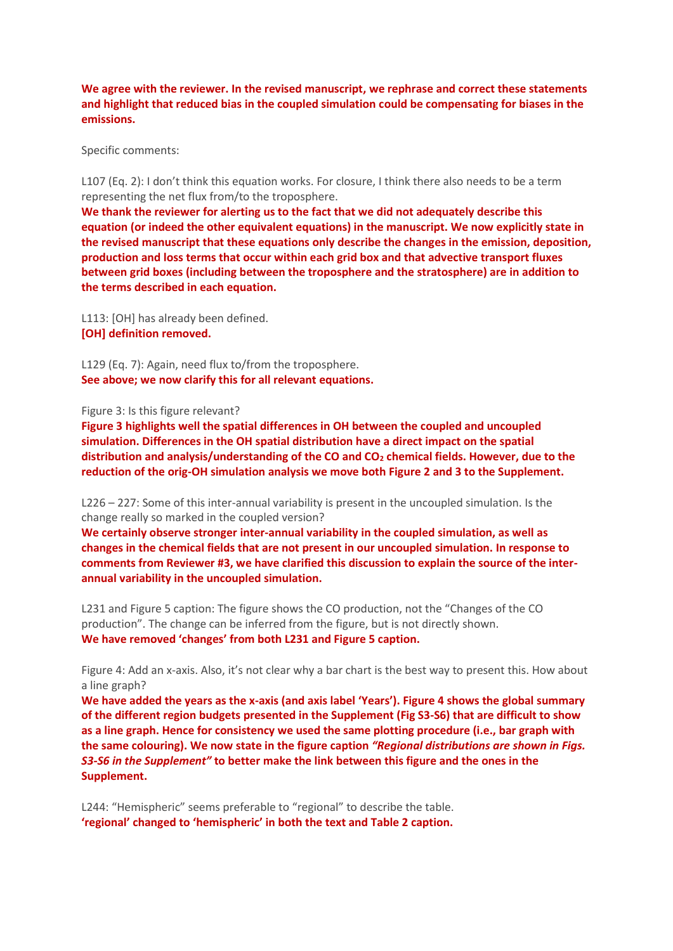**We agree with the reviewer. In the revised manuscript, we rephrase and correct these statements and highlight that reduced bias in the coupled simulation could be compensating for biases in the emissions.** 

Specific comments:

L107 (Eq. 2): I don't think this equation works. For closure, I think there also needs to be a term representing the net flux from/to the troposphere.

**We thank the reviewer for alerting us to the fact that we did not adequately describe this equation (or indeed the other equivalent equations) in the manuscript. We now explicitly state in the revised manuscript that these equations only describe the changes in the emission, deposition, production and loss terms that occur within each grid box and that advective transport fluxes between grid boxes (including between the troposphere and the stratosphere) are in addition to the terms described in each equation.**

L113: [OH] has already been defined. **[OH] definition removed.**

L129 (Eq. 7): Again, need flux to/from the troposphere. **See above; we now clarify this for all relevant equations.**

Figure 3: Is this figure relevant?

**Figure 3 highlights well the spatial differences in OH between the coupled and uncoupled simulation. Differences in the OH spatial distribution have a direct impact on the spatial distribution and analysis/understanding of the CO and CO<sup>2</sup> chemical fields. However, due to the reduction of the orig-OH simulation analysis we move both Figure 2 and 3 to the Supplement.** 

L226 – 227: Some of this inter-annual variability is present in the uncoupled simulation. Is the change really so marked in the coupled version?

**We certainly observe stronger inter-annual variability in the coupled simulation, as well as changes in the chemical fields that are not present in our uncoupled simulation. In response to comments from Reviewer #3, we have clarified this discussion to explain the source of the interannual variability in the uncoupled simulation.**

L231 and Figure 5 caption: The figure shows the CO production, not the "Changes of the CO production". The change can be inferred from the figure, but is not directly shown. **We have removed 'changes' from both L231 and Figure 5 caption.**

Figure 4: Add an x-axis. Also, it's not clear why a bar chart is the best way to present this. How about a line graph?

**We have added the years as the x-axis (and axis label 'Years'). Figure 4 shows the global summary of the different region budgets presented in the Supplement (Fig S3-S6) that are difficult to show as a line graph. Hence for consistency we used the same plotting procedure (i.e., bar graph with the same colouring). We now state in the figure caption** *"Regional distributions are shown in Figs. S3-S6 in the Supplement"* **to better make the link between this figure and the ones in the Supplement.**

L244: "Hemispheric" seems preferable to "regional" to describe the table. **'regional' changed to 'hemispheric' in both the text and Table 2 caption.**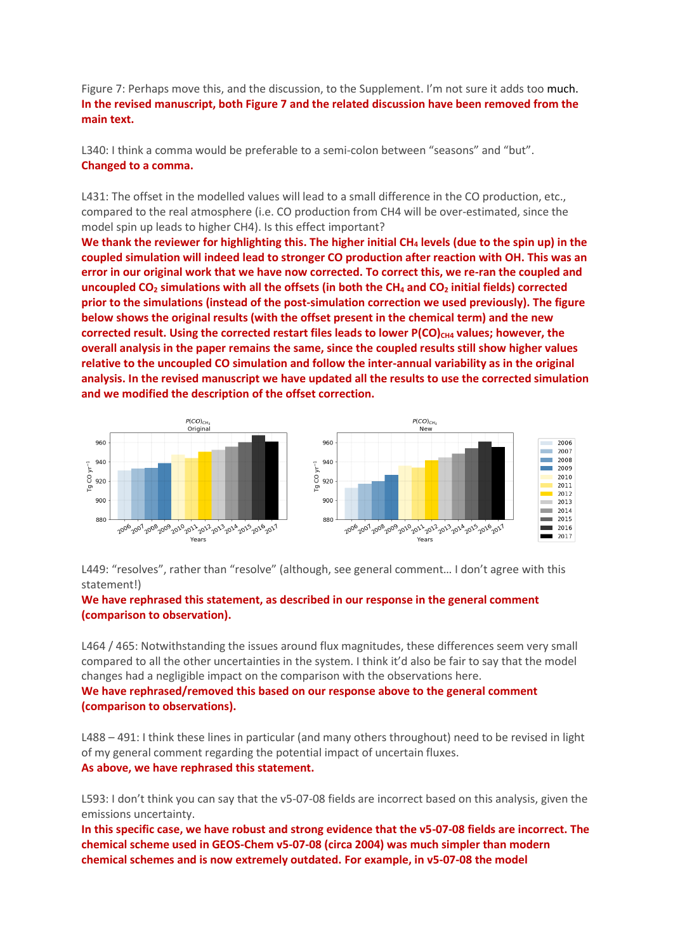Figure 7: Perhaps move this, and the discussion, to the Supplement. I'm not sure it adds too much. **In the revised manuscript, both Figure 7 and the related discussion have been removed from the main text.**

L340: I think a comma would be preferable to a semi-colon between "seasons" and "but". **Changed to a comma.**

L431: The offset in the modelled values will lead to a small difference in the CO production, etc., compared to the real atmosphere (i.e. CO production from CH4 will be over-estimated, since the model spin up leads to higher CH4). Is this effect important?

**We thank the reviewer for highlighting this. The higher initial CH<sup>4</sup> levels (due to the spin up) in the coupled simulation will indeed lead to stronger CO production after reaction with OH. This was an error in our original work that we have now corrected. To correct this, we re-ran the coupled and uncoupled CO<sup>2</sup> simulations with all the offsets (in both the CH<sup>4</sup> and CO<sup>2</sup> initial fields) corrected prior to the simulations (instead of the post-simulation correction we used previously). The figure below shows the original results (with the offset present in the chemical term) and the new corrected result. Using the corrected restart files leads to lower P(CO)CH4 values; however, the overall analysis in the paper remains the same, since the coupled results still show higher values relative to the uncoupled CO simulation and follow the inter-annual variability as in the original analysis. In the revised manuscript we have updated all the results to use the corrected simulation and we modified the description of the offset correction.** 



L449: "resolves", rather than "resolve" (although, see general comment... I don't agree with this statement!)

# **We have rephrased this statement, as described in our response in the general comment (comparison to observation).**

L464 / 465: Notwithstanding the issues around flux magnitudes, these differences seem very small compared to all the other uncertainties in the system. I think it'd also be fair to say that the model changes had a negligible impact on the comparison with the observations here.

## **We have rephrased/removed this based on our response above to the general comment (comparison to observations).**

L488 – 491: I think these lines in particular (and many others throughout) need to be revised in light of my general comment regarding the potential impact of uncertain fluxes. **As above, we have rephrased this statement.**

L593: I don't think you can say that the v5-07-08 fields are incorrect based on this analysis, given the emissions uncertainty.

**In this specific case, we have robust and strong evidence that the v5-07-08 fields are incorrect. The chemical scheme used in GEOS-Chem v5-07-08 (circa 2004) was much simpler than modern chemical schemes and is now extremely outdated. For example, in v5-07-08 the model**